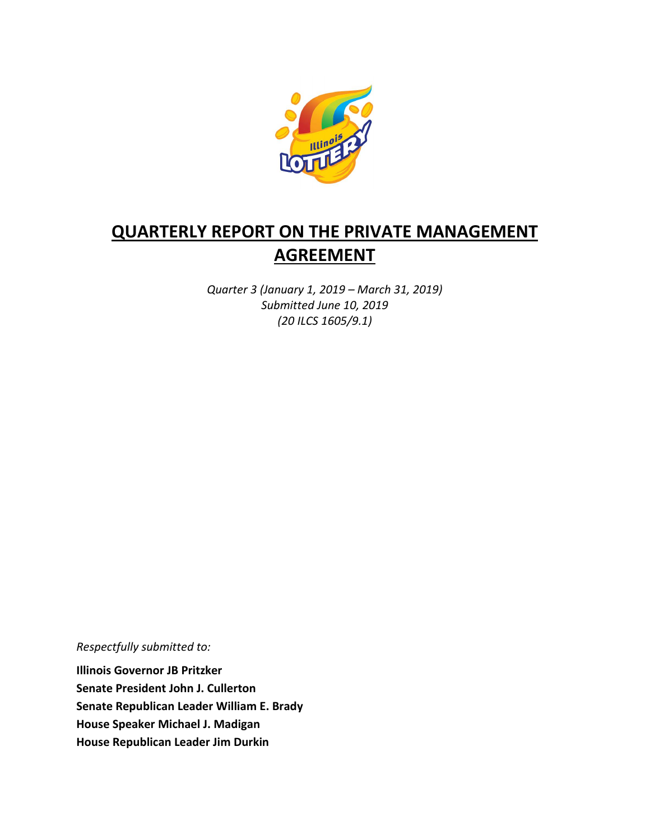

# **QUARTERLY REPORT ON THE PRIVATE MANAGEMENT AGREEMENT**

*Quarter 3 (January 1, 2019 – March 31, 2019) Submitted June 10, 2019 (20 ILCS 1605/9.1)*

*Respectfully submitted to:* 

**Illinois Governor JB Pritzker Senate President John J. Cullerton Senate Republican Leader William E. Brady House Speaker Michael J. Madigan House Republican Leader Jim Durkin**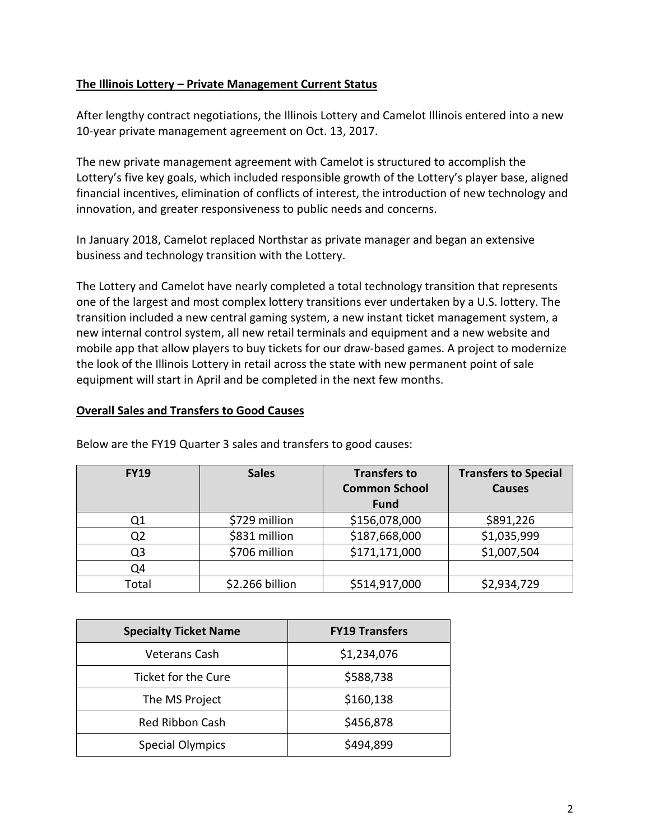### **The Illinois Lottery – Private Management Current Status**

After lengthy contract negotiations, the Illinois Lottery and Camelot Illinois entered into a new 10-year private management agreement on Oct. 13, 2017.

The new private management agreement with Camelot is structured to accomplish the Lottery's five key goals, which included responsible growth of the Lottery's player base, aligned financial incentives, elimination of conflicts of interest, the introduction of new technology and innovation, and greater responsiveness to public needs and concerns.

In January 2018, Camelot replaced Northstar as private manager and began an extensive business and technology transition with the Lottery.

The Lottery and Camelot have nearly completed a total technology transition that represents one of the largest and most complex lottery transitions ever undertaken by a U.S. lottery. The transition included a new central gaming system, a new instant ticket management system, a new internal control system, all new retail terminals and equipment and a new website and mobile app that allow players to buy tickets for our draw-based games. A project to modernize the look of the Illinois Lottery in retail across the state with new permanent point of sale equipment will start in April and be completed in the next few months.

#### **Overall Sales and Transfers to Good Causes**

| <b>FY19</b> | <b>Sales</b>    | <b>Transfers to</b><br><b>Common School</b><br><b>Fund</b> | <b>Transfers to Special</b><br><b>Causes</b> |
|-------------|-----------------|------------------------------------------------------------|----------------------------------------------|
| Q1          | \$729 million   | \$156,078,000                                              | \$891,226                                    |
| Q2          | \$831 million   | \$187,668,000                                              | \$1,035,999                                  |
| Q3          | \$706 million   | \$171,171,000                                              | \$1,007,504                                  |
| Q4          |                 |                                                            |                                              |
| Total       | \$2.266 billion | \$514,917,000                                              | \$2,934,729                                  |

Below are the FY19 Quarter 3 sales and transfers to good causes:

| <b>Specialty Ticket Name</b> | <b>FY19 Transfers</b> |  |
|------------------------------|-----------------------|--|
| Veterans Cash                | \$1,234,076           |  |
| Ticket for the Cure          | \$588,738             |  |
| The MS Project               | \$160,138             |  |
| <b>Red Ribbon Cash</b>       | \$456,878             |  |
| <b>Special Olympics</b>      | \$494,899             |  |